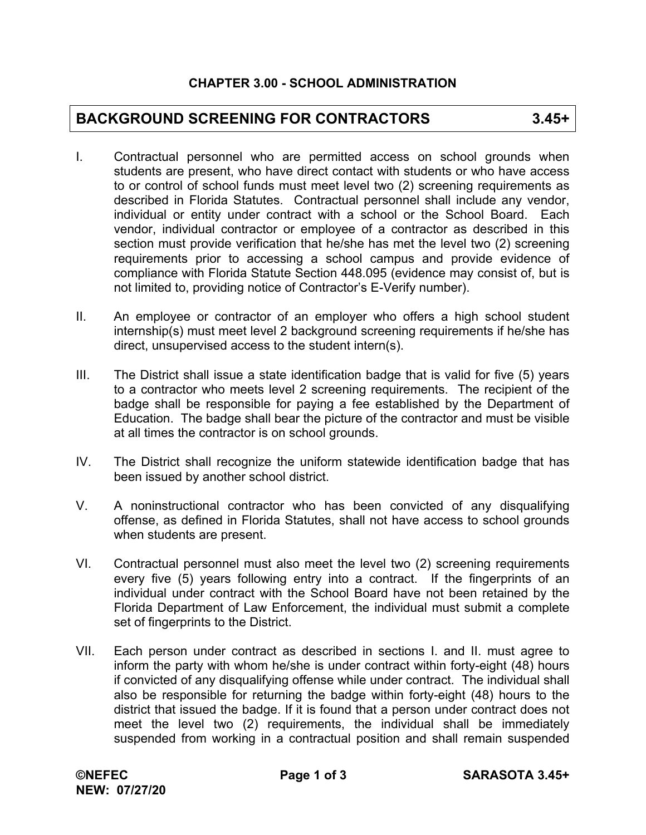## **BACKGROUND SCREENING FOR CONTRACTORS 3.45+**

- I. Contractual personnel who are permitted access on school grounds when students are present, who have direct contact with students or who have access to or control of school funds must meet level two (2) screening requirements as described in Florida Statutes. Contractual personnel shall include any vendor, individual or entity under contract with a school or the School Board. Each vendor, individual contractor or employee of a contractor as described in this section must provide verification that he/she has met the level two (2) screening requirements prior to accessing a school campus and provide evidence of compliance with Florida Statute Section 448.095 (evidence may consist of, but is not limited to, providing notice of Contractor's E-Verify number).
- II. An employee or contractor of an employer who offers a high school student internship(s) must meet level 2 background screening requirements if he/she has direct, unsupervised access to the student intern(s).
- III. The District shall issue a state identification badge that is valid for five (5) years to a contractor who meets level 2 screening requirements. The recipient of the badge shall be responsible for paying a fee established by the Department of Education. The badge shall bear the picture of the contractor and must be visible at all times the contractor is on school grounds.
- IV. The District shall recognize the uniform statewide identification badge that has been issued by another school district.
- V. A noninstructional contractor who has been convicted of any disqualifying offense, as defined in Florida Statutes, shall not have access to school grounds when students are present.
- VI. Contractual personnel must also meet the level two (2) screening requirements every five (5) years following entry into a contract. If the fingerprints of an individual under contract with the School Board have not been retained by the Florida Department of Law Enforcement, the individual must submit a complete set of fingerprints to the District.
- VII. Each person under contract as described in sections I. and II. must agree to inform the party with whom he/she is under contract within forty-eight (48) hours if convicted of any disqualifying offense while under contract. The individual shall also be responsible for returning the badge within forty-eight (48) hours to the district that issued the badge. If it is found that a person under contract does not meet the level two (2) requirements, the individual shall be immediately suspended from working in a contractual position and shall remain suspended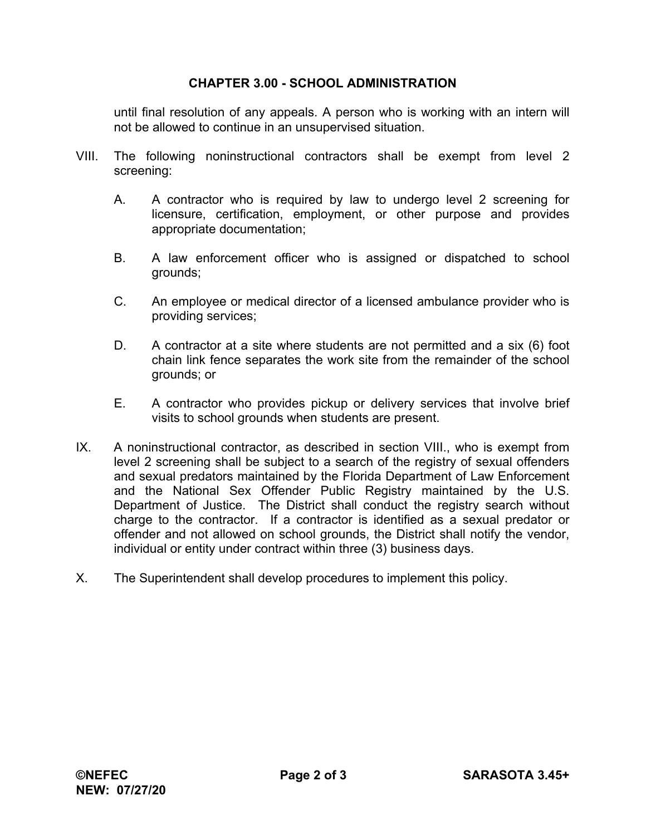## **CHAPTER 3.00 - SCHOOL ADMINISTRATION**

until final resolution of any appeals. A person who is working with an intern will not be allowed to continue in an unsupervised situation.

- VIII. The following noninstructional contractors shall be exempt from level 2 screening:
	- A. A contractor who is required by law to undergo level 2 screening for licensure, certification, employment, or other purpose and provides appropriate documentation;
	- B. A law enforcement officer who is assigned or dispatched to school grounds;
	- C. An employee or medical director of a licensed ambulance provider who is providing services;
	- D. A contractor at a site where students are not permitted and a six (6) foot chain link fence separates the work site from the remainder of the school grounds; or
	- E. A contractor who provides pickup or delivery services that involve brief visits to school grounds when students are present.
- IX. A noninstructional contractor, as described in section VIII., who is exempt from level 2 screening shall be subject to a search of the registry of sexual offenders and sexual predators maintained by the Florida Department of Law Enforcement and the National Sex Offender Public Registry maintained by the U.S. Department of Justice. The District shall conduct the registry search without charge to the contractor. If a contractor is identified as a sexual predator or offender and not allowed on school grounds, the District shall notify the vendor, individual or entity under contract within three (3) business days.
- X. The Superintendent shall develop procedures to implement this policy.